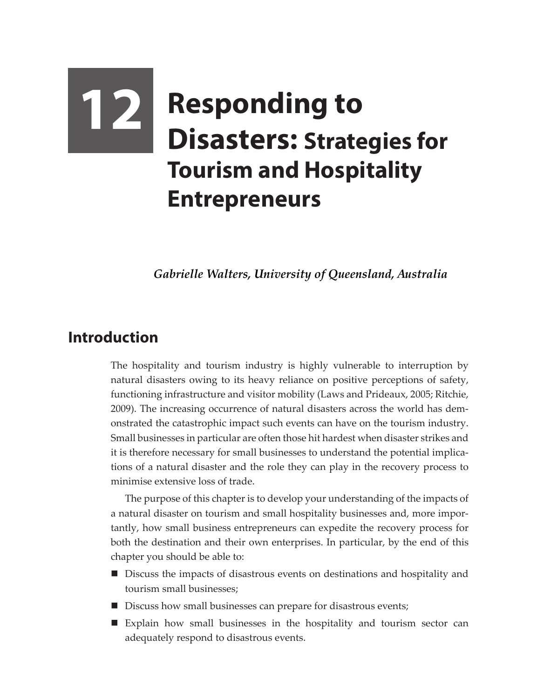# **12 Responding to Disasters: Strategies for Tourism and Hospitality Entrepreneurs**

*Gabrielle Walters, University of Queensland, Australia*

## **Introduction**

The hospitality and tourism industry is highly vulnerable to interruption by natural disasters owing to its heavy reliance on positive perceptions of safety, functioning infrastructure and visitor mobility (Laws and Prideaux, 2005; Ritchie, 2009). The increasing occurrence of natural disasters across the world has demonstrated the catastrophic impact such events can have on the tourism industry. Small businesses in particular are often those hit hardest when disaster strikes and it is therefore necessary for small businesses to understand the potential implications of a natural disaster and the role they can play in the recovery process to minimise extensive loss of trade.

The purpose of this chapter is to develop your understanding of the impacts of a natural disaster on tourism and small hospitality businesses and, more importantly, how small business entrepreneurs can expedite the recovery process for both the destination and their own enterprises. In particular, by the end of this chapter you should be able to:

- Discuss the impacts of disastrous events on destinations and hospitality and tourism small businesses;
- Discuss how small businesses can prepare for disastrous events;
- Explain how small businesses in the hospitality and tourism sector can adequately respond to disastrous events.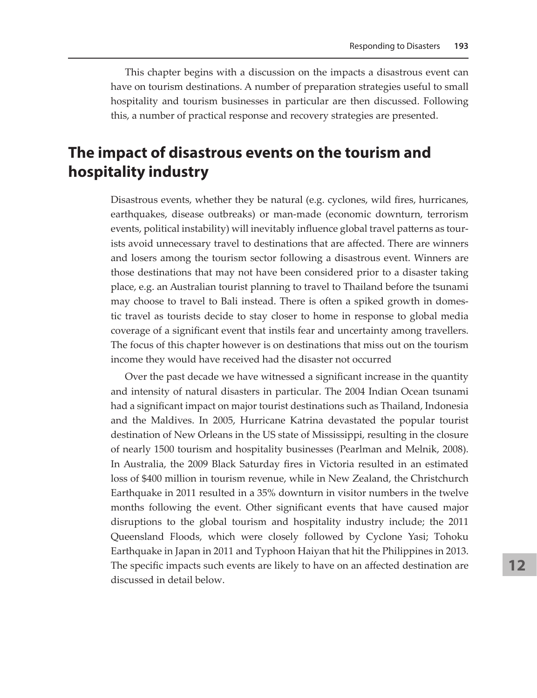This chapter begins with a discussion on the impacts a disastrous event can have on tourism destinations. A number of preparation strategies useful to small hospitality and tourism businesses in particular are then discussed. Following this, a number of practical response and recovery strategies are presented.

## **The impact of disastrous events on the tourism and hospitality industry**

Disastrous events, whether they be natural (e.g. cyclones, wild fires, hurricanes, earthquakes, disease outbreaks) or man-made (economic downturn, terrorism events, political instability) will inevitably influence global travel patterns as tourists avoid unnecessary travel to destinations that are affected. There are winners and losers among the tourism sector following a disastrous event. Winners are those destinations that may not have been considered prior to a disaster taking place, e.g. an Australian tourist planning to travel to Thailand before the tsunami may choose to travel to Bali instead. There is often a spiked growth in domestic travel as tourists decide to stay closer to home in response to global media coverage of a significant event that instils fear and uncertainty among travellers. The focus of this chapter however is on destinations that miss out on the tourism income they would have received had the disaster not occurred

Over the past decade we have witnessed a significant increase in the quantity and intensity of natural disasters in particular. The 2004 Indian Ocean tsunami had a significant impact on major tourist destinations such as Thailand, Indonesia and the Maldives. In 2005, Hurricane Katrina devastated the popular tourist destination of New Orleans in the US state of Mississippi, resulting in the closure of nearly 1500 tourism and hospitality businesses (Pearlman and Melnik, 2008). In Australia, the 2009 Black Saturday fires in Victoria resulted in an estimated loss of \$400 million in tourism revenue, while in New Zealand, the Christchurch Earthquake in 2011 resulted in a 35% downturn in visitor numbers in the twelve months following the event. Other significant events that have caused major disruptions to the global tourism and hospitality industry include; the 2011 Queensland Floods, which were closely followed by Cyclone Yasi; Tohoku Earthquake in Japan in 2011 and Typhoon Haiyan that hit the Philippines in 2013. The specific impacts such events are likely to have on an affected destination are discussed in detail below.